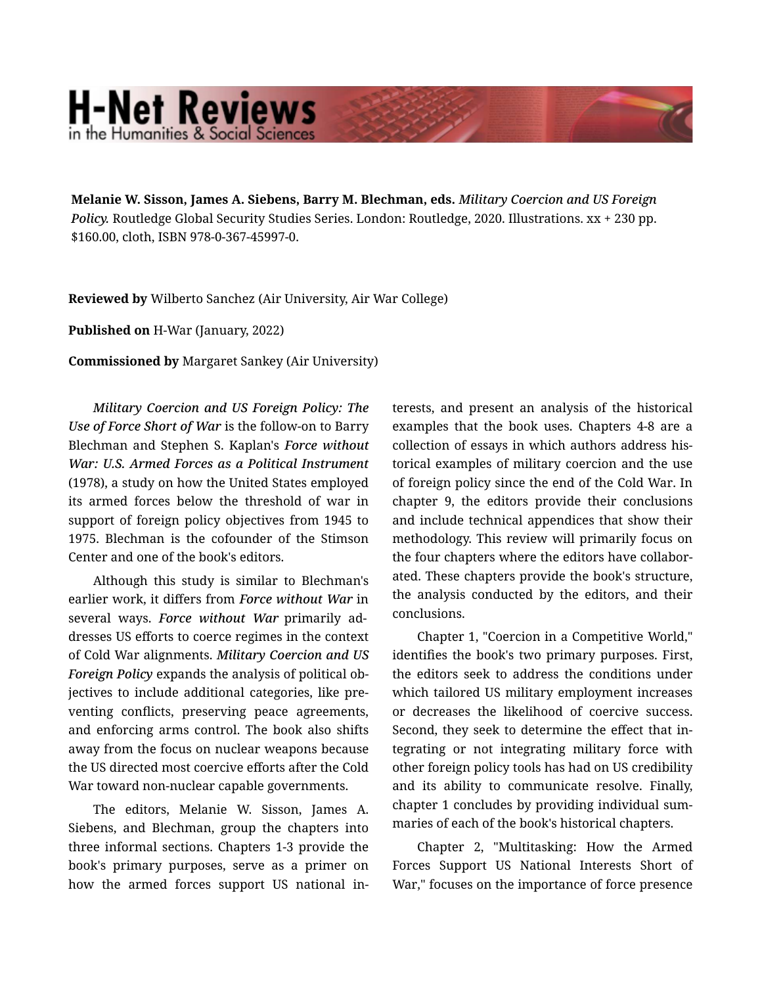## **H-Net Reviews** in the Humanities & Social S

Melanie W. Sisson, James A. Siebens, Barry M. Blechman, eds. *Military Coercion and US Foreign Policy.* Routledge Global Security Studies Series. London: Routledge, 2020. Illustrations. xx + 230 pp. \$160.00, cloth, ISBN 978-0-367-45997-0.

Reviewed by Wilberto Sanchez (Air University, Air War College)

Published on H-War (January, 2022)

Commissioned by Margaret Sankey (Air University)

*Military Coercion and US Foreign Policy: The Use of Force Short of War* is the follow-on to Barry Blechman and Stephen S. Kaplan's *Force without War: U.S. Armed Forces as a Political Instrument* (1978), a study on how the United States employed its armed forces below the threshold of war in support of foreign policy objectives from 1945 to 1975. Blechman is the cofounder of the Stimson Center and one of the book's editors.

Although this study is similar to Blechman's earlier work, it differs from *Force without War* in several ways. *Force without War* primarily ad‐ dresses US efforts to coerce regimes in the context of Cold War alignments. *Military Coercion and US Foreign Policy* expands the analysis of political ob‐ jectives to include additional categories, like pre‐ venting conflicts, preserving peace agreements, and enforcing arms control. The book also shifts away from the focus on nuclear weapons because the US directed most coercive efforts after the Cold War toward non-nuclear capable governments.

The editors, Melanie W. Sisson, James A. Siebens, and Blechman, group the chapters into three informal sections. Chapters 1-3 provide the book's primary purposes, serve as a primer on how the armed forces support US national in‐ terests, and present an analysis of the historical examples that the book uses. Chapters 4-8 are a collection of essays in which authors address his‐ torical examples of military coercion and the use of foreign policy since the end of the Cold War. In chapter 9, the editors provide their conclusions and include technical appendices that show their methodology. This review will primarily focus on the four chapters where the editors have collabor‐ ated. These chapters provide the book's structure, the analysis conducted by the editors, and their conclusions.

Chapter 1, "Coercion in a Competitive World," identifies the book's two primary purposes. First, the editors seek to address the conditions under which tailored US military employment increases or decreases the likelihood of coercive success. Second, they seek to determine the effect that in‐ tegrating or not integrating military force with other foreign policy tools has had on US credibility and its ability to communicate resolve. Finally, chapter 1 concludes by providing individual sum‐ maries of each of the book's historical chapters.

Chapter 2, "Multitasking: How the Armed Forces Support US National Interests Short of War," focuses on the importance of force presence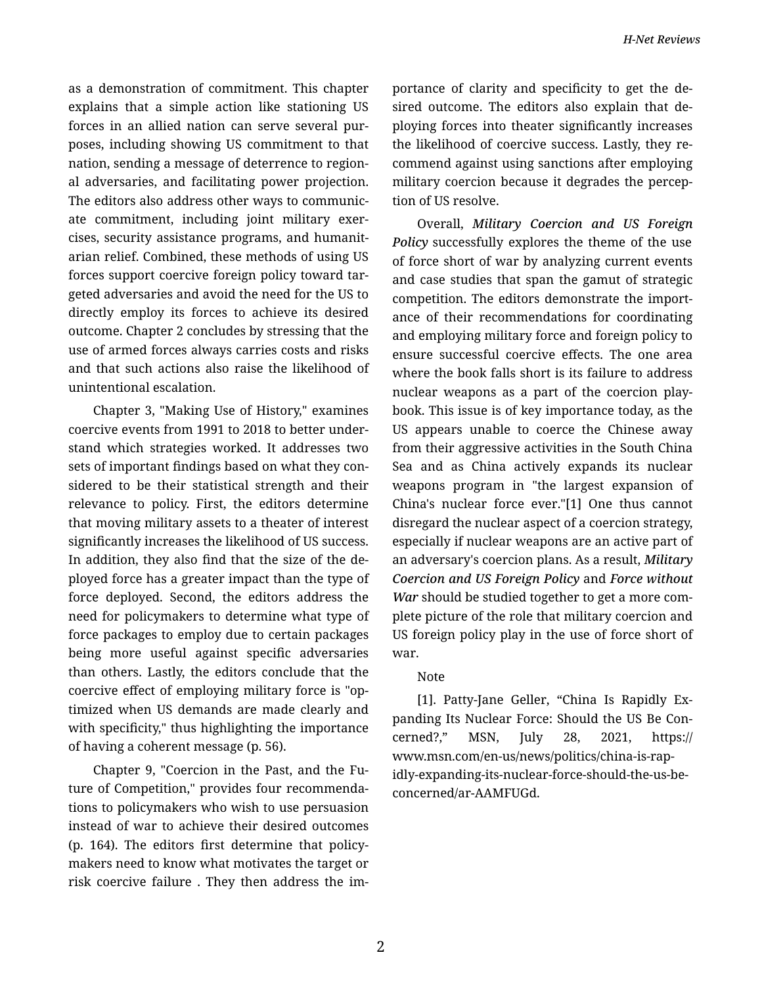as a demonstration of commitment. This chapter explains that a simple action like stationing US forces in an allied nation can serve several pur‐ poses, including showing US commitment to that nation, sending a message of deterrence to region‐ al adversaries, and facilitating power projection. The editors also address other ways to communic‐ ate commitment, including joint military exer‐ cises, security assistance programs, and humanit‐ arian relief. Combined, these methods of using US forces support coercive foreign policy toward tar‐ geted adversaries and avoid the need for the US to directly employ its forces to achieve its desired outcome. Chapter 2 concludes by stressing that the use of armed forces always carries costs and risks and that such actions also raise the likelihood of unintentional escalation.

Chapter 3, "Making Use of History," examines coercive events from 1991 to 2018 to better under‐ stand which strategies worked. It addresses two sets of important findings based on what they con‐ sidered to be their statistical strength and their relevance to policy. First, the editors determine that moving military assets to a theater of interest significantly increases the likelihood of US success. In addition, they also find that the size of the de‐ ployed force has a greater impact than the type of force deployed. Second, the editors address the need for policymakers to determine what type of force packages to employ due to certain packages being more useful against specific adversaries than others. Lastly, the editors conclude that the coercive effect of employing military force is "op‐ timized when US demands are made clearly and with specificity," thus highlighting the importance of having a coherent message (p. 56).

Chapter 9, "Coercion in the Past, and the Fu‐ ture of Competition," provides four recommenda‐ tions to policymakers who wish to use persuasion instead of war to achieve their desired outcomes (p. 164). The editors first determine that policy‐ makers need to know what motivates the target or risk coercive failure . They then address the im‐ portance of clarity and specificity to get the de‐ sired outcome. The editors also explain that de‐ ploying forces into theater significantly increases the likelihood of coercive success. Lastly, they re‐ commend against using sanctions after employing military coercion because it degrades the percep‐ tion of US resolve.

Overall, *Military Coercion and US Foreign Policy* successfully explores the theme of the use of force short of war by analyzing current events and case studies that span the gamut of strategic competition. The editors demonstrate the import‐ ance of their recommendations for coordinating and employing military force and foreign policy to ensure successful coercive effects. The one area where the book falls short is its failure to address nuclear weapons as a part of the coercion play‐ book. This issue is of key importance today, as the US appears unable to coerce the Chinese away from their aggressive activities in the South China Sea and as China actively expands its nuclear weapons program in "the largest expansion of China's nuclear force ever."[1] One thus cannot disregard the nuclear aspect of a coercion strategy, especially if nuclear weapons are an active part of an adversary's coercion plans. As a result, *Military Coercion and US Foreign Policy* and *Force without War* should be studied together to get a more com‐ plete picture of the role that military coercion and US foreign policy play in the use of force short of war.

## Note

[1]. Patty-Jane Geller, "China Is Rapidly Ex‐ panding Its Nuclear Force: Should the US Be Con‐ cerned?," MSN, July 28, 2021, https:// www.msn.com/en-us/news/politics/china-is-rap‐ idly-expanding-its-nuclear-force-should-the-us-beconcerned/ar-AAMFUGd.